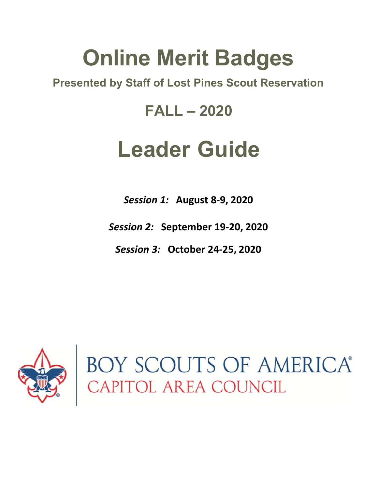# **Online Merit Badges**

# **Presented by Staff of Lost Pines Scout Reservation**

# **FALL – 2020**

# **Leader Guide**

*Session 1:* **August 8-9, 2020**

*Session 2:* **September 19-20, 2020**

*Session 3:* **October 24-25, 2020**



BOY SCOUTS OF AMERICA®<br>CAPITOL AREA COUNCIL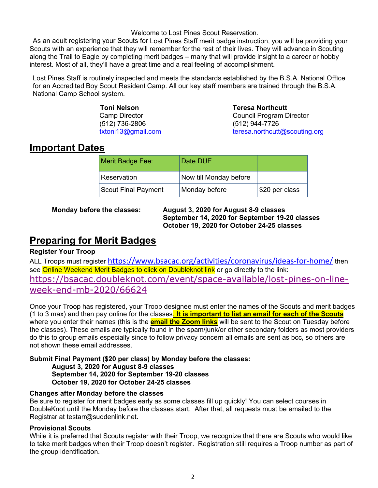#### Welcome to Lost Pines Scout Reservation.

As an adult registering your Scouts for Lost Pines Staff merit badge instruction, you will be providing your Scouts with an experience that they will remember for the rest of their lives. They will advance in Scouting along the Trail to Eagle by completing merit badges – many that will provide insight to a career or hobby interest. Most of all, they'll have a great time and a real feeling of accomplishment.

Lost Pines Staff is routinely inspected and meets the standards established by the B.S.A. National Office for an Accredited Boy Scout Resident Camp. All our key staff members are trained through the B.S.A. National Camp School system.

> **Toni Nelson**<br>
> Camp Director<br>
> Council Program D (512) 736-2806 (512) 944-7726

**Council Program Director** [txtoni13@gmail.com](mailto:txtoni13@gmail.com) [teresa.northcutt@scouting.org](mailto:teresa.northcutt@scouting.org)

## **Important Dates**

| <b>Merit Badge Fee:</b>    | Date DUE               |                |
|----------------------------|------------------------|----------------|
| Reservation                | Now till Monday before |                |
| <b>Scout Final Payment</b> | Monday before          | \$20 per class |

**Monday before the classes: August 3, 2020 for August 8-9 classes September 14, 2020 for September 19-20 classes October 19, 2020 for October 24-25 classes**

# **Preparing for Merit Badges**

#### **Register Your Troop**

ALL Troops must register <https://www.bsacac.org/activities/coronavirus/ideas-for-home/> then see Online Weekend Merit Badges to click on Doubleknot link or go directly to the link: [https://bsacac.doubleknot.com/event/space-available/lost-pines-on-line](https://bsacac.doubleknot.com/event/space-available/lost-pines-on-line-week-end-mb-2020/66624)[week-end-mb-2020/66624](https://bsacac.doubleknot.com/event/space-available/lost-pines-on-line-week-end-mb-2020/66624)

Once your Troop has registered, your Troop designee must enter the names of the Scouts and merit badges (1 to 3 max) and then pay online for the classes. **It is important to list an email for each of the Scouts** where you enter their names (this is the **email the Zoom links** will be sent to the Scout on Tuesday before the classes). These emails are typically found in the spam/junk/or other secondary folders as most providers do this to group emails especially since to follow privacy concern all emails are sent as bcc, so others are not shown these email addresses.

#### **Submit Final Payment (\$20 per class) by Monday before the classes: August 3, 2020 for August 8-9 classes September 14, 2020 for September 19-20 classes October 19, 2020 for October 24-25 classes**

#### **Changes after Monday before the classes**

Be sure to register for merit badges early as some classes fill up quickly! You can select courses in DoubleKnot until the Monday before the classes start. After that, all requests must be emailed to the Registrar at testarr@suddenlink.net.

#### **Provisional Scouts**

While it is preferred that Scouts register with their Troop, we recognize that there are Scouts who would like to take merit badges when their Troop doesn't register. Registration still requires a Troop number as part of the group identification.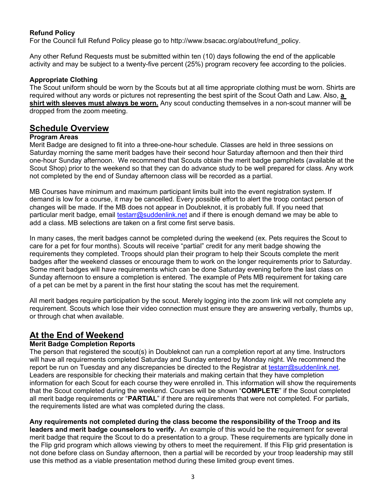#### **Refund Policy**

For the Council full Refund Policy please go to http://www.bsacac.org/about/refund\_policy.

Any other Refund Requests must be submitted within ten (10) days following the end of the applicable activity and may be subject to a twenty-five percent (25%) program recovery fee according to the policies.

#### **Appropriate Clothing**

The Scout uniform should be worn by the Scouts but at all time appropriate clothing must be worn. Shirts are required without any words or pictures not representing the best spirit of the Scout Oath and Law. Also, **a shirt with sleeves must always be worn.** Any scout conducting themselves in a non-scout manner will be dropped from the zoom meeting.

### **Schedule Overview**

#### **Program Areas**

Merit Badge are designed to fit into a three-one-hour schedule. Classes are held in three sessions on Saturday morning the same merit badges have their second hour Saturday afternoon and then their third one-hour Sunday afternoon. We recommend that Scouts obtain the merit badge pamphlets (available at the Scout Shop) prior to the weekend so that they can do advance study to be well prepared for class. Any work not completed by the end of Sunday afternoon class will be recorded as a partial.

MB Courses have minimum and maximum participant limits built into the event registration system. If demand is low for a course, it may be cancelled. Every possible effort to alert the troop contact person of changes will be made. If the MB does not appear in Doubleknot, it is probably full. If you need that particular merit badge, email [testarr@suddenlink.net](mailto:testarr@suddenlink.net) and if there is enough demand we may be able to add a class. MB selections are taken on a first come first serve basis.

In many cases, the merit badges cannot be completed during the weekend (ex. Pets requires the Scout to care for a pet for four months). Scouts will receive "partial" credit for any merit badge showing the requirements they completed. Troops should plan their program to help their Scouts complete the merit badges after the weekend classes or encourage them to work on the longer requirements prior to Saturday. Some merit badges will have requirements which can be done Saturday evening before the last class on Sunday afternoon to ensure a completion is entered. The example of Pets MB requirement for taking care of a pet can be met by a parent in the first hour stating the scout has met the requirement.

All merit badges require participation by the scout. Merely logging into the zoom link will not complete any requirement. Scouts which lose their video connection must ensure they are answering verbally, thumbs up, or through chat when available.

## **At the End of Weekend**

#### **Merit Badge Completion Reports**

The person that registered the scout(s) in Doubleknot can run a completion report at any time. Instructors will have all requirements completed Saturday and Sunday entered by Monday night. We recommend the report be run on Tuesday and any discrepancies be directed to the Registrar at [testarr@suddenlink.net.](mailto:testarr@suddenlink.net) Leaders are responsible for checking their materials and making certain that they have completion information for each Scout for each course they were enrolled in. This information will show the requirements that the Scout completed during the weekend. Courses will be shown "**COMPLETE**" if the Scout completed all merit badge requirements or "**PARTIAL**" if there are requirements that were not completed. For partials, the requirements listed are what was completed during the class.

**Any requirements not completed during the class become the responsibility of the Troop and its leaders and merit badge counselors to verify.** An example of this would be the requirement for several merit badge that require the Scout to do a presentation to a group. These requirements are typically done in the Flip grid program which allows viewing by others to meet the requirement. If this Flip grid presentation is not done before class on Sunday afternoon, then a partial will be recorded by your troop leadership may still use this method as a viable presentation method during these limited group event times.